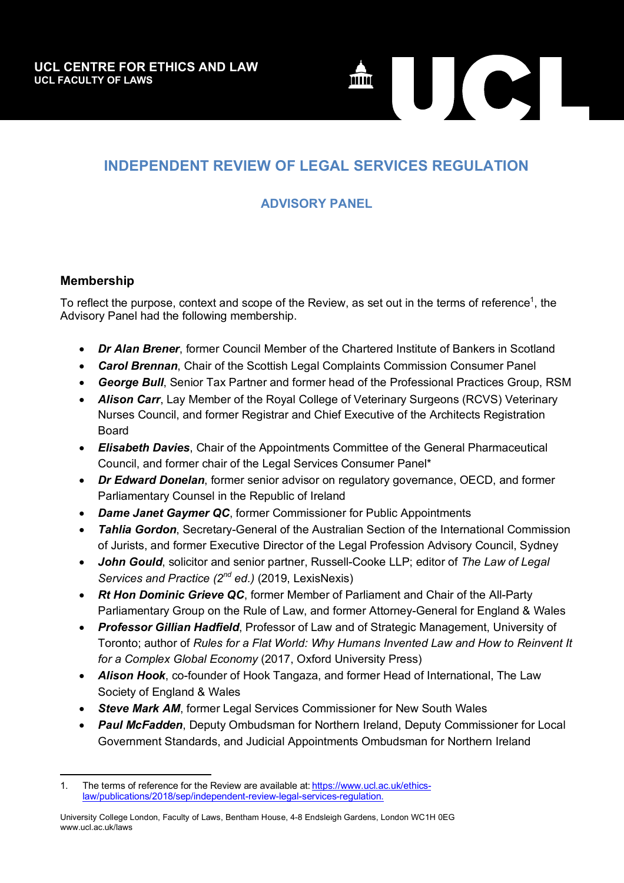

## **INDEPENDENT REVIEW OF LEGAL SERVICES REGULATION**

## **ADVISORY PANEL**

## **Membership**

 $\overline{a}$ 

To reflect the purpose, context and scope of the Review, as set out in the terms of reference<sup>1</sup>, the Advisory Panel had the following membership.

- *Dr Alan Brener*, former Council Member of the Chartered Institute of Bankers in Scotland
- *Carol Brennan*, Chair of the Scottish Legal Complaints Commission Consumer Panel
- *George Bull*, Senior Tax Partner and former head of the Professional Practices Group, RSM
- *Alison Carr*, Lay Member of the Royal College of Veterinary Surgeons (RCVS) Veterinary Nurses Council, and former Registrar and Chief Executive of the Architects Registration Board
- *Elisabeth Davies*, Chair of the Appointments Committee of the General Pharmaceutical Council, and former chair of the Legal Services Consumer Panel\*
- *Dr Edward Donelan*, former senior advisor on regulatory governance, OECD, and former Parliamentary Counsel in the Republic of Ireland
- *Dame Janet Gaymer QC*, former Commissioner for Public Appointments
- *Tahlia Gordon*, Secretary-General of the Australian Section of the International Commission of Jurists, and former Executive Director of the Legal Profession Advisory Council, Sydney
- *John Gould*, solicitor and senior partner, Russell-Cooke LLP; editor of *The Law of Legal Services and Practice (2nd ed.)* (2019, LexisNexis)
- *Rt Hon Dominic Grieve QC*, former Member of Parliament and Chair of the All-Party Parliamentary Group on the Rule of Law, and former Attorney-General for England & Wales
- *Professor Gillian Hadfield*, Professor of Law and of Strategic Management, University of Toronto; author of *Rules for a Flat World: Why Humans Invented Law and How to Reinvent It for a Complex Global Economy* (2017, Oxford University Press)
- *Alison Hook*, co-founder of Hook Tangaza, and former Head of International, The Law Society of England & Wales
- **Steve Mark AM**, former Legal Services Commissioner for New South Wales
- *Paul McFadden*, Deputy Ombudsman for Northern Ireland, Deputy Commissioner for Local Government Standards, and Judicial Appointments Ombudsman for Northern Ireland

<sup>1.</sup> The terms of reference for the Review are available at: https://www.ucl.ac.uk/ethicslaw/publications/2018/sep/independent-review-legal-services-regulation.